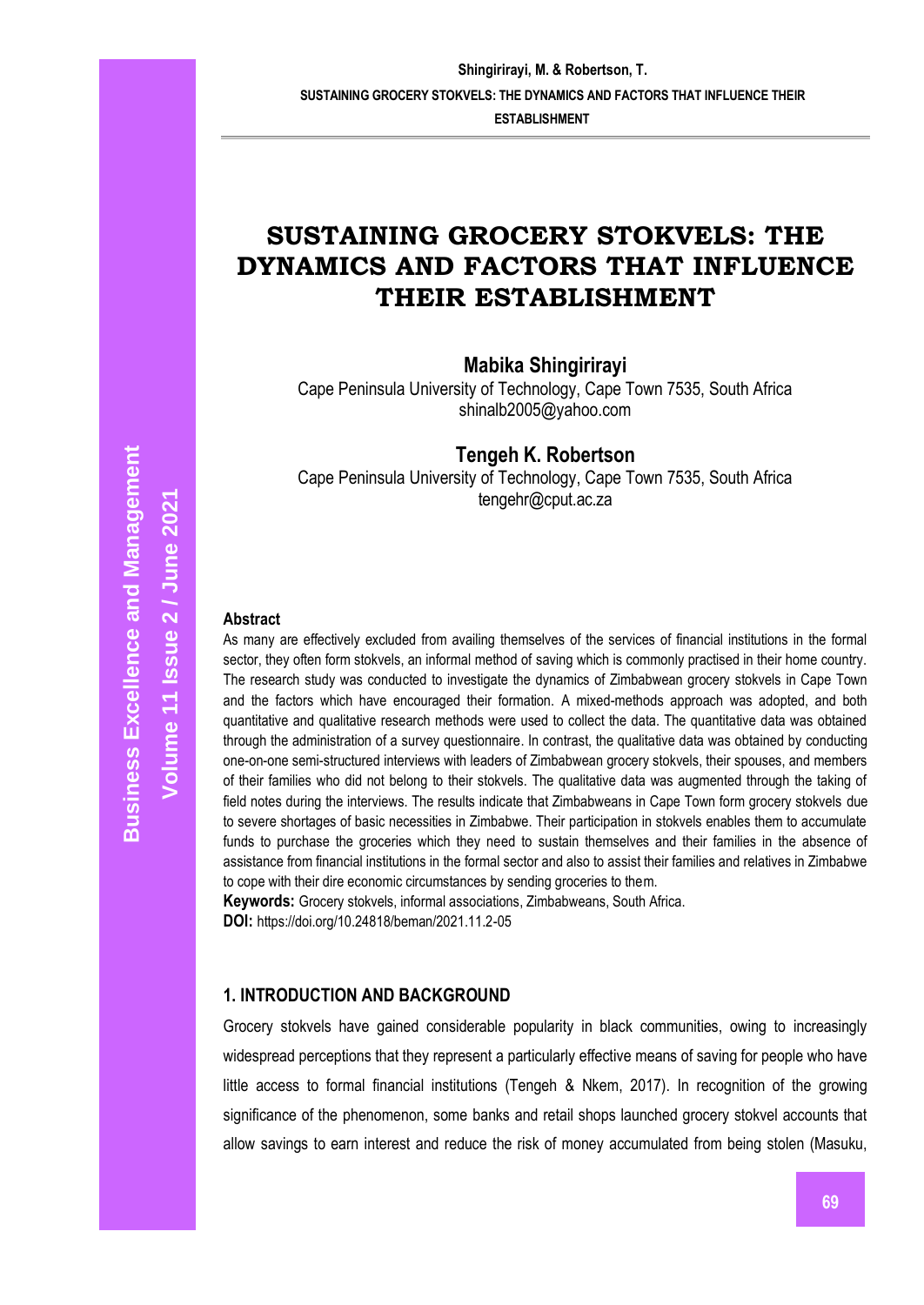**ESTABLISHMENT**

# **SUSTAINING GROCERY STOKVELS: THE DYNAMICS AND FACTORS THAT INFLUENCE THEIR ESTABLISHMENT**

**Mabika Shingirirayi**

Cape Peninsula University of Technology, Cape Town 7535, South Africa shinalb2005@yahoo.com

**Tengeh K. Robertson** 

Cape Peninsula University of Technology, Cape Town 7535, South Africa tengehr@cput.ac.za

#### **Abstract**

As many are effectively excluded from availing themselves of the services of financial institutions in the formal sector, they often form stokvels, an informal method of saving which is commonly practised in their home country. The research study was conducted to investigate the dynamics of Zimbabwean grocery stokvels in Cape Town and the factors which have encouraged their formation. A mixed-methods approach was adopted, and both quantitative and qualitative research methods were used to collect the data. The quantitative data was obtained through the administration of a survey questionnaire. In contrast, the qualitative data was obtained by conducting one-on-one semi-structured interviews with leaders of Zimbabwean grocery stokvels, their spouses, and members of their families who did not belong to their stokvels. The qualitative data was augmented through the taking of field notes during the interviews. The results indicate that Zimbabweans in Cape Town form grocery stokvels due to severe shortages of basic necessities in Zimbabwe. Their participation in stokvels enables them to accumulate funds to purchase the groceries which they need to sustain themselves and their families in the absence of assistance from financial institutions in the formal sector and also to assist their families and relatives in Zimbabwe to cope with their dire economic circumstances by sending groceries to them.

**Keywords:** Grocery stokvels, informal associations, Zimbabweans, South Africa. **DOI:** https://doi.org/10.24818/beman/2021.11.2-05

# **1. INTRODUCTION AND BACKGROUND**

Grocery stokvels have gained considerable popularity in black communities, owing to increasingly widespread perceptions that they represent a particularly effective means of saving for people who have little access to formal financial institutions (Tengeh & Nkem, 2017). In recognition of the growing significance of the phenomenon, some banks and retail shops launched grocery stokvel accounts that allow savings to earn interest and reduce the risk of money accumulated from being stolen (Masuku,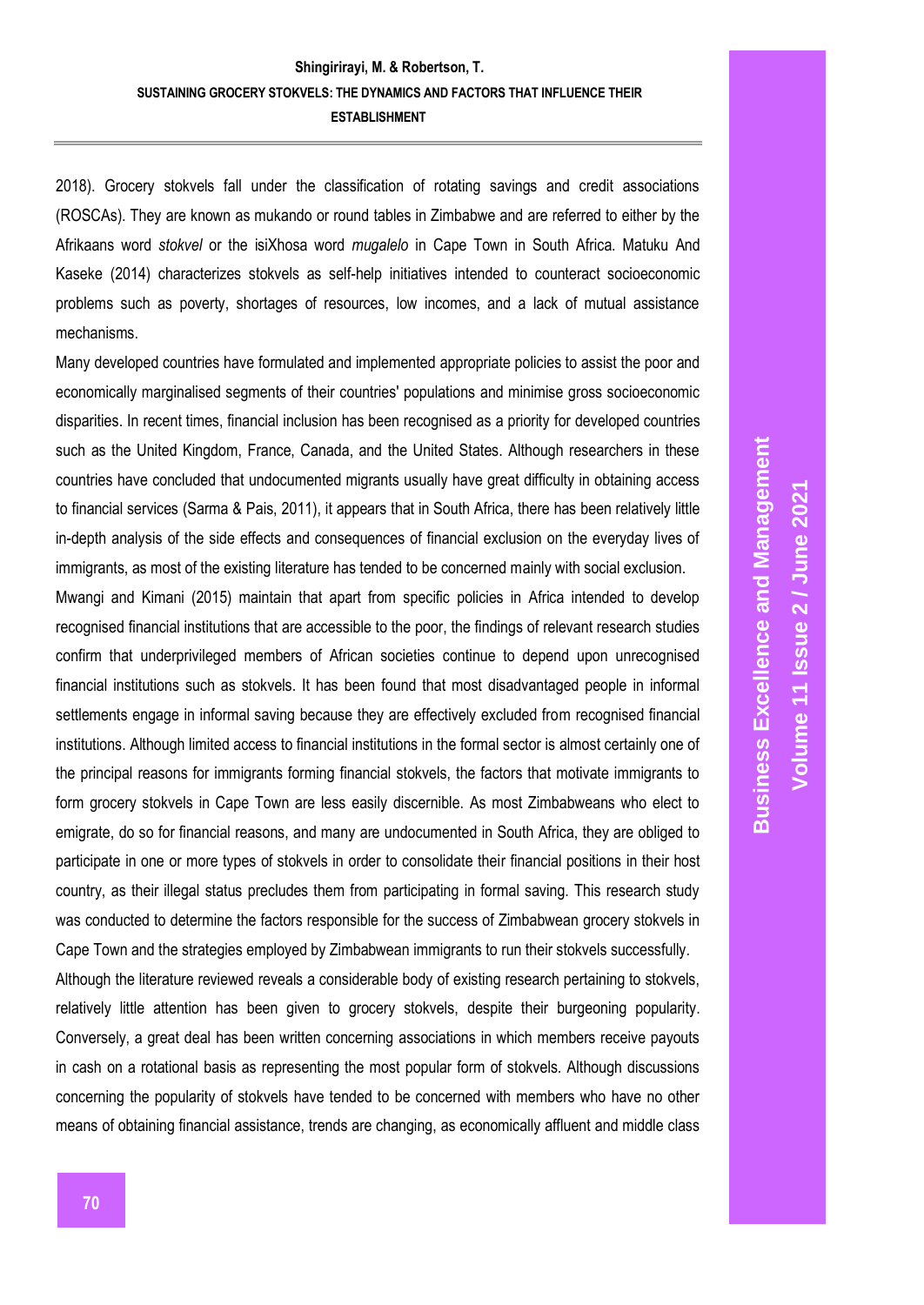# **Shingirirayi, M. & Robertson, T. SUSTAINING GROCERY STOKVELS: THE DYNAMICS AND FACTORS THAT INFLUENCE THEIR ESTABLISHMENT**

2018). Grocery stokvels fall under the classification of rotating savings and credit associations (ROSCAs). They are known as mukando or round tables in Zimbabwe and are referred to either by the Afrikaans word *stokvel* or the isiXhosa word *mugalelo* in Cape Town in South Africa. Matuku And Kaseke (2014) characterizes stokvels as self-help initiatives intended to counteract socioeconomic problems such as poverty, shortages of resources, low incomes, and a lack of mutual assistance mechanisms.

Many developed countries have formulated and implemented appropriate policies to assist the poor and economically marginalised segments of their countries' populations and minimise gross socioeconomic disparities. In recent times, financial inclusion has been recognised as a priority for developed countries such as the United Kingdom, France, Canada, and the United States. Although researchers in these countries have concluded that undocumented migrants usually have great difficulty in obtaining access to financial services (Sarma & Pais, 2011), it appears that in South Africa, there has been relatively little in-depth analysis of the side effects and consequences of financial exclusion on the everyday lives of immigrants, as most of the existing literature has tended to be concerned mainly with social exclusion.

Mwangi and Kimani (2015) maintain that apart from specific policies in Africa intended to develop recognised financial institutions that are accessible to the poor, the findings of relevant research studies confirm that underprivileged members of African societies continue to depend upon unrecognised financial institutions such as stokvels. It has been found that most disadvantaged people in informal settlements engage in informal saving because they are effectively excluded from recognised financial institutions. Although limited access to financial institutions in the formal sector is almost certainly one of the principal reasons for immigrants forming financial stokvels, the factors that motivate immigrants to form grocery stokvels in Cape Town are less easily discernible. As most Zimbabweans who elect to emigrate, do so for financial reasons, and many are undocumented in South Africa, they are obliged to participate in one or more types of stokvels in order to consolidate their financial positions in their host country, as their illegal status precludes them from participating in formal saving. This research study was conducted to determine the factors responsible for the success of Zimbabwean grocery stokvels in Cape Town and the strategies employed by Zimbabwean immigrants to run their stokvels successfully.

Although the literature reviewed reveals a considerable body of existing research pertaining to stokvels, relatively little attention has been given to grocery stokvels, despite their burgeoning popularity. Conversely, a great deal has been written concerning associations in which members receive payouts in cash on a rotational basis as representing the most popular form of stokvels. Although discussions concerning the popularity of stokvels have tended to be concerned with members who have no other means of obtaining financial assistance, trends are changing, as economically affluent and middle class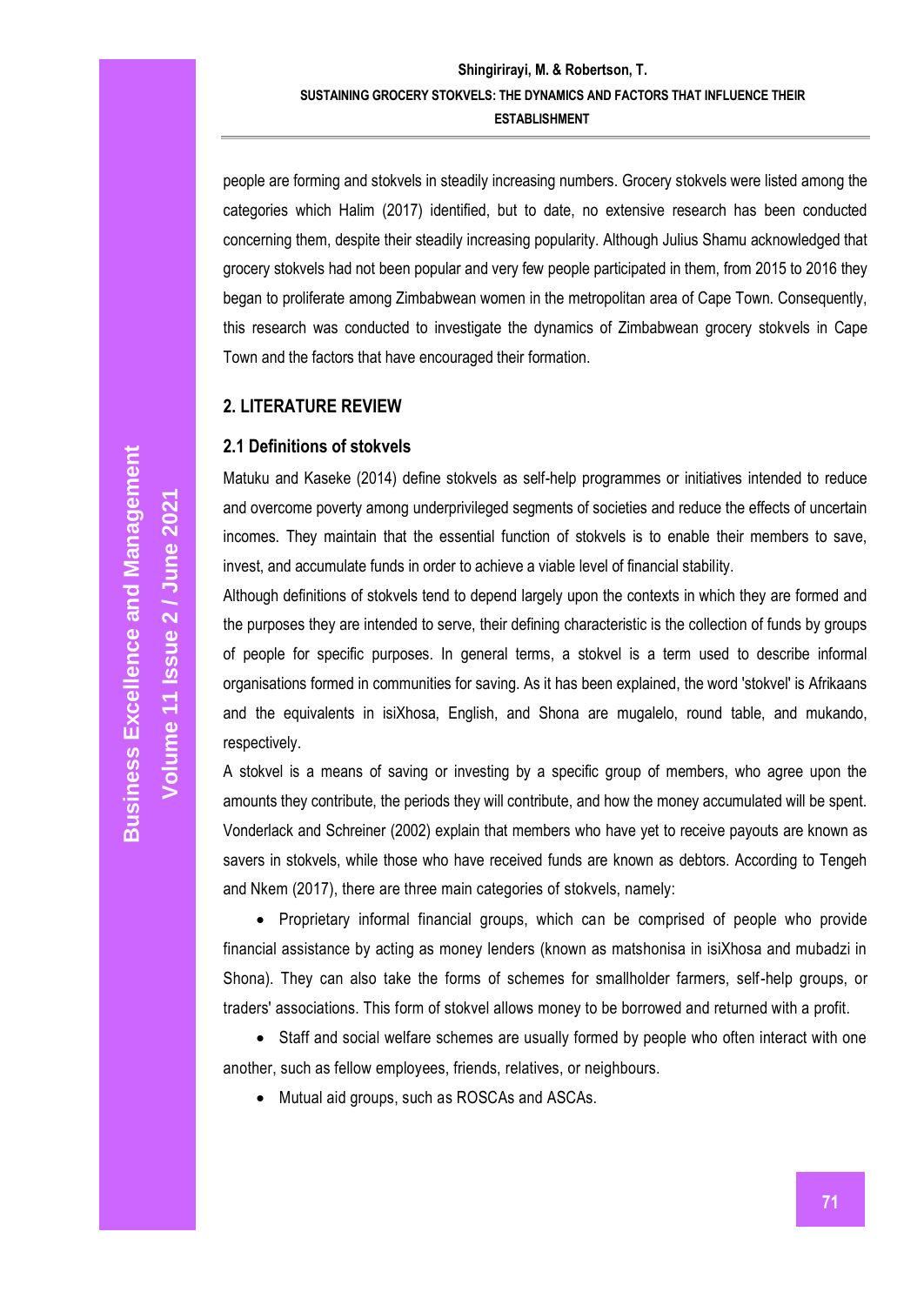people are forming and stokvels in steadily increasing numbers. Grocery stokvels were listed among the categories which Halim (2017) identified, but to date, no extensive research has been conducted concerning them, despite their steadily increasing popularity. Although Julius Shamu acknowledged that grocery stokvels had not been popular and very few people participated in them, from 2015 to 2016 they began to proliferate among Zimbabwean women in the metropolitan area of Cape Town. Consequently, this research was conducted to investigate the dynamics of Zimbabwean grocery stokvels in Cape Town and the factors that have encouraged their formation.

# **2. LITERATURE REVIEW**

#### **2.1 Definitions of stokvels**

Matuku and Kaseke (2014) define stokvels as self-help programmes or initiatives intended to reduce and overcome poverty among underprivileged segments of societies and reduce the effects of uncertain incomes. They maintain that the essential function of stokvels is to enable their members to save, invest, and accumulate funds in order to achieve a viable level of financial stability.

Although definitions of stokvels tend to depend largely upon the contexts in which they are formed and the purposes they are intended to serve, their defining characteristic is the collection of funds by groups of people for specific purposes. In general terms, a stokvel is a term used to describe informal organisations formed in communities for saving. As it has been explained, the word 'stokvel' is Afrikaans and the equivalents in isiXhosa, English, and Shona are mugalelo, round table, and mukando, respectively.

A stokvel is a means of saving or investing by a specific group of members, who agree upon the amounts they contribute, the periods they will contribute, and how the money accumulated will be spent. Vonderlack and Schreiner (2002) explain that members who have yet to receive payouts are known as savers in stokvels, while those who have received funds are known as debtors. According to Tengeh and Nkem (2017), there are three main categories of stokvels, namely:

• Proprietary informal financial groups, which can be comprised of people who provide financial assistance by acting as money lenders (known as matshonisa in isiXhosa and mubadzi in Shona). They can also take the forms of schemes for smallholder farmers, self-help groups, or traders' associations. This form of stokvel allows money to be borrowed and returned with a profit.

• Staff and social welfare schemes are usually formed by people who often interact with one another, such as fellow employees, friends, relatives, or neighbours.

• Mutual aid groups, such as ROSCAs and ASCAs.

**Volume 11 Issue** 

**2 / June 2021**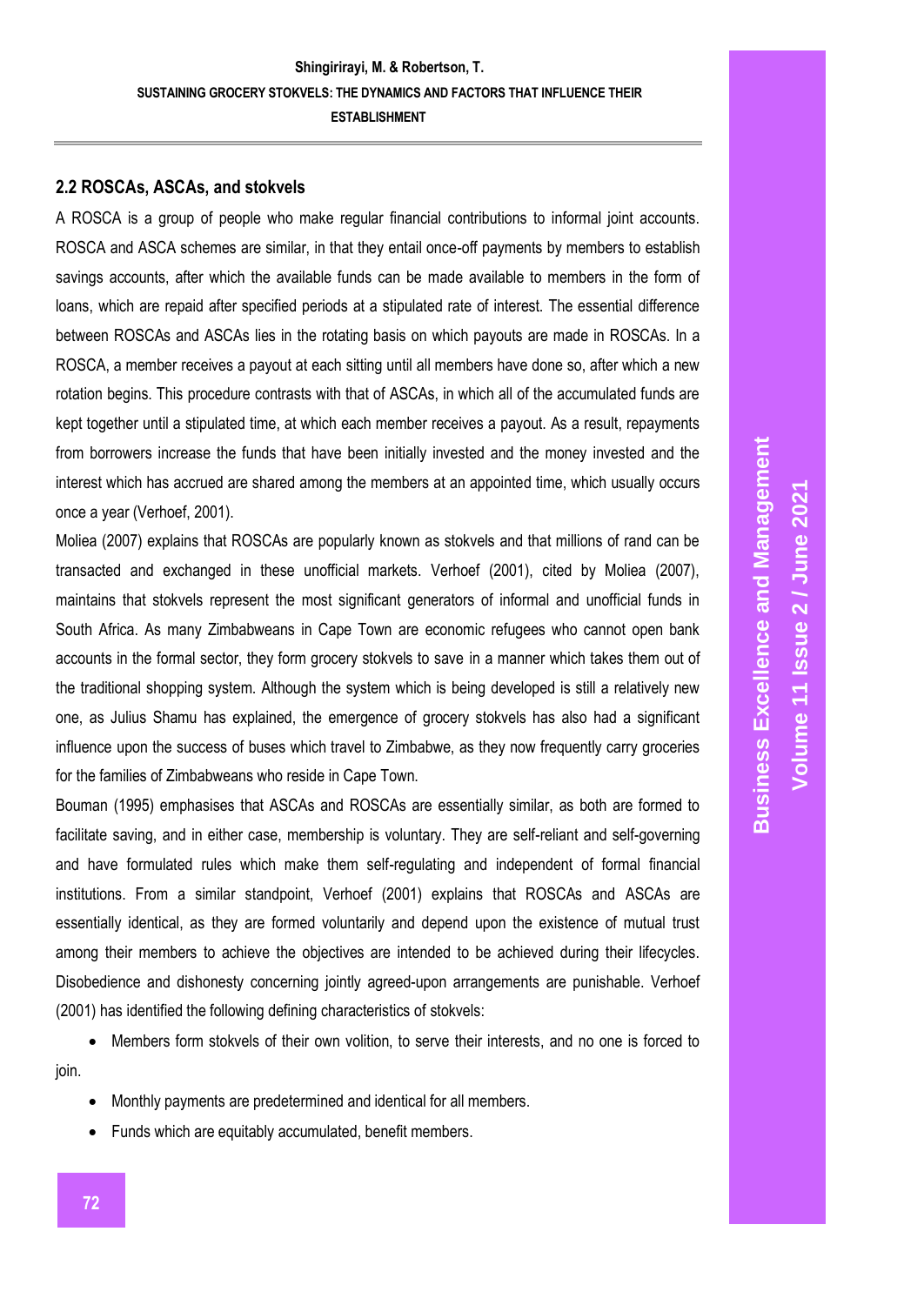# **2.2 ROSCAs, ASCAs, and stokvels**

A ROSCA is a group of people who make regular financial contributions to informal joint accounts. ROSCA and ASCA schemes are similar, in that they entail once-off payments by members to establish savings accounts, after which the available funds can be made available to members in the form of loans, which are repaid after specified periods at a stipulated rate of interest. The essential difference between ROSCAs and ASCAs lies in the rotating basis on which payouts are made in ROSCAs. In a ROSCA, a member receives a payout at each sitting until all members have done so, after which a new rotation begins. This procedure contrasts with that of ASCAs, in which all of the accumulated funds are kept together until a stipulated time, at which each member receives a payout. As a result, repayments from borrowers increase the funds that have been initially invested and the money invested and the interest which has accrued are shared among the members at an appointed time, which usually occurs once a year (Verhoef, 2001).

Moliea (2007) explains that ROSCAs are popularly known as stokvels and that millions of rand can be transacted and exchanged in these unofficial markets. Verhoef (2001), cited by Moliea (2007), maintains that stokvels represent the most significant generators of informal and unofficial funds in South Africa. As many Zimbabweans in Cape Town are economic refugees who cannot open bank accounts in the formal sector, they form grocery stokvels to save in a manner which takes them out of the traditional shopping system. Although the system which is being developed is still a relatively new one, as Julius Shamu has explained, the emergence of grocery stokvels has also had a significant influence upon the success of buses which travel to Zimbabwe, as they now frequently carry groceries for the families of Zimbabweans who reside in Cape Town.

Bouman (1995) emphasises that ASCAs and ROSCAs are essentially similar, as both are formed to facilitate saving, and in either case, membership is voluntary. They are self-reliant and self-governing and have formulated rules which make them self-regulating and independent of formal financial institutions. From a similar standpoint, Verhoef (2001) explains that ROSCAs and ASCAs are essentially identical, as they are formed voluntarily and depend upon the existence of mutual trust among their members to achieve the objectives are intended to be achieved during their lifecycles. Disobedience and dishonesty concerning jointly agreed-upon arrangements are punishable. Verhoef (2001) has identified the following defining characteristics of stokvels:

• Members form stokvels of their own volition, to serve their interests, and no one is forced to join.

- Monthly payments are predetermined and identical for all members.
- Funds which are equitably accumulated, benefit members.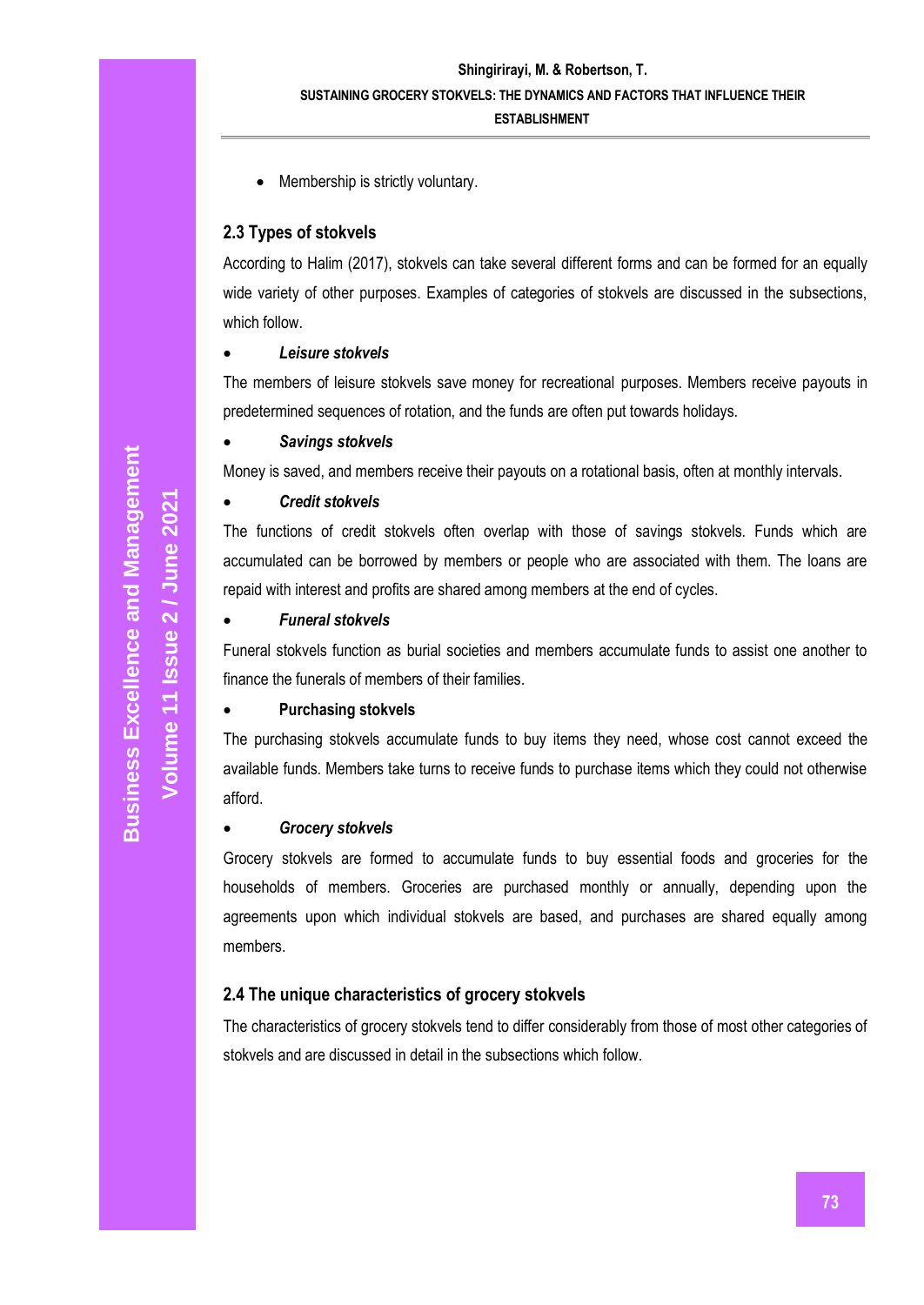• Membership is strictly voluntary.

# **2.3 Types of stokvels**

According to Halim (2017), stokvels can take several different forms and can be formed for an equally wide variety of other purposes. Examples of categories of stokvels are discussed in the subsections, which follow.

#### • *Leisure stokvels*

The members of leisure stokvels save money for recreational purposes. Members receive payouts in predetermined sequences of rotation, and the funds are often put towards holidays.

#### • *Savings stokvels*

Money is saved, and members receive their payouts on a rotational basis, often at monthly intervals.

#### • *Credit stokvels*

The functions of credit stokvels often overlap with those of savings stokvels. Funds which are accumulated can be borrowed by members or people who are associated with them. The loans are repaid with interest and profits are shared among members at the end of cycles.

#### • *Funeral stokvels*

Funeral stokvels function as burial societies and members accumulate funds to assist one another to finance the funerals of members of their families.

#### • **Purchasing stokvels**

The purchasing stokvels accumulate funds to buy items they need, whose cost cannot exceed the available funds. Members take turns to receive funds to purchase items which they could not otherwise afford.

#### • *Grocery stokvels*

Grocery stokvels are formed to accumulate funds to buy essential foods and groceries for the households of members. Groceries are purchased monthly or annually, depending upon the agreements upon which individual stokvels are based, and purchases are shared equally among members.

# **2.4 The unique characteristics of grocery stokvels**

The characteristics of grocery stokvels tend to differ considerably from those of most other categories of stokvels and are discussed in detail in the subsections which follow.

**Volume 11 Issue** 

**2 / June 2021**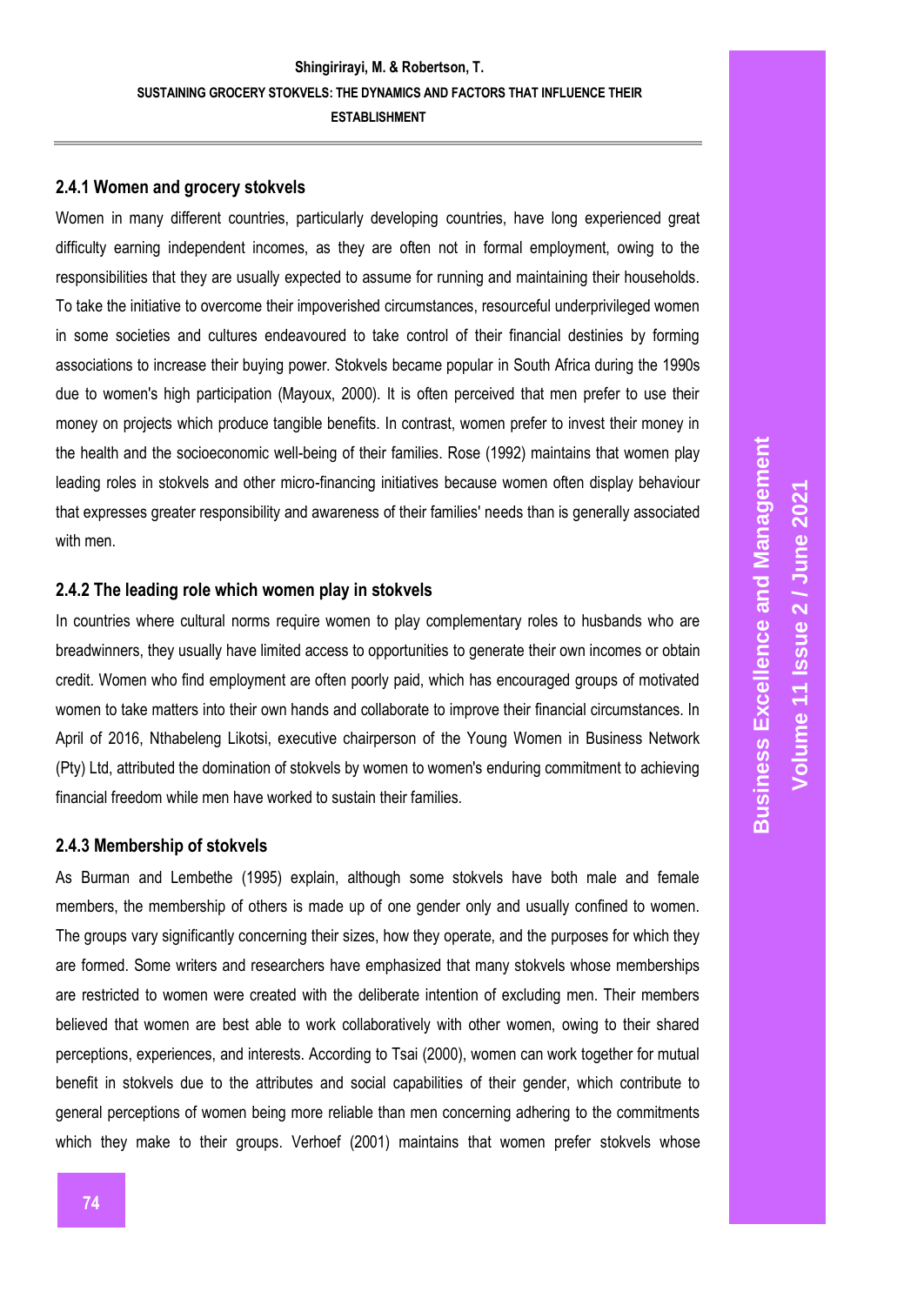## **2.4.1 Women and grocery stokvels**

Women in many different countries, particularly developing countries, have long experienced great difficulty earning independent incomes, as they are often not in formal employment, owing to the responsibilities that they are usually expected to assume for running and maintaining their households. To take the initiative to overcome their impoverished circumstances, resourceful underprivileged women in some societies and cultures endeavoured to take control of their financial destinies by forming associations to increase their buying power. Stokvels became popular in South Africa during the 1990s due to women's high participation (Mayoux, 2000). It is often perceived that men prefer to use their money on projects which produce tangible benefits. In contrast, women prefer to invest their money in the health and the socioeconomic well-being of their families. Rose (1992) maintains that women play leading roles in stokvels and other micro-financing initiatives because women often display behaviour that expresses greater responsibility and awareness of their families' needs than is generally associated with men.

#### **2.4.2 The leading role which women play in stokvels**

In countries where cultural norms require women to play complementary roles to husbands who are breadwinners, they usually have limited access to opportunities to generate their own incomes or obtain credit. Women who find employment are often poorly paid, which has encouraged groups of motivated women to take matters into their own hands and collaborate to improve their financial circumstances. In April of 2016, Nthabeleng Likotsi, executive chairperson of the Young Women in Business Network (Pty) Ltd, attributed the domination of stokvels by women to women's enduring commitment to achieving financial freedom while men have worked to sustain their families.

#### **2.4.3 Membership of stokvels**

As Burman and Lembethe (1995) explain, although some stokvels have both male and female members, the membership of others is made up of one gender only and usually confined to women. The groups vary significantly concerning their sizes, how they operate, and the purposes for which they are formed. Some writers and researchers have emphasized that many stokvels whose memberships are restricted to women were created with the deliberate intention of excluding men. Their members believed that women are best able to work collaboratively with other women, owing to their shared perceptions, experiences, and interests. According to Tsai (2000), women can work together for mutual benefit in stokvels due to the attributes and social capabilities of their gender, which contribute to general perceptions of women being more reliable than men concerning adhering to the commitments which they make to their groups. Verhoef (2001) maintains that women prefer stokvels whose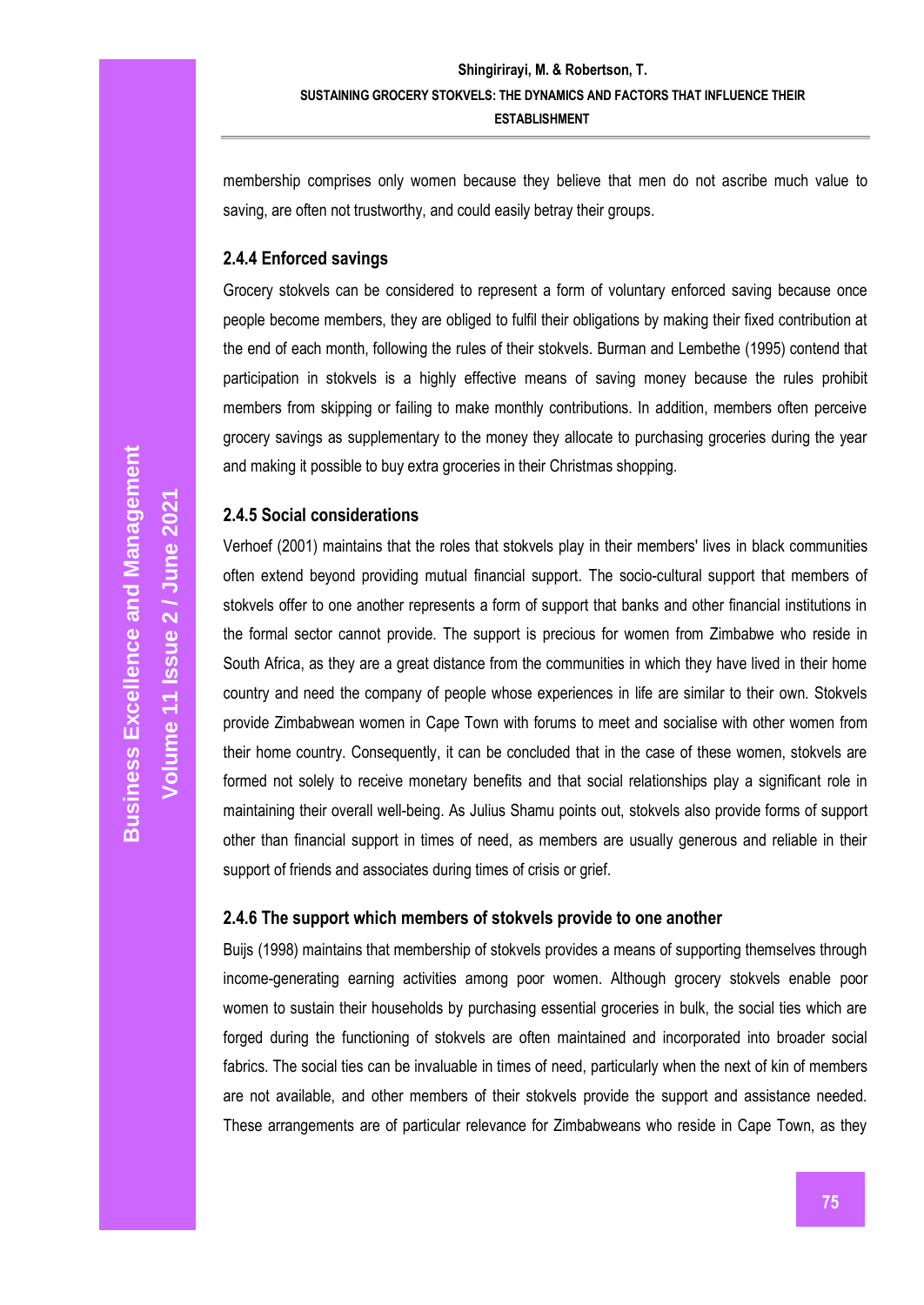membership comprises only women because they believe that men do not ascribe much value to saving, are often not trustworthy, and could easily betray their groups.

# **2.4.4 Enforced savings**

Grocery stokvels can be considered to represent a form of voluntary enforced saving because once people become members, they are obliged to fulfil their obligations by making their fixed contribution at the end of each month, following the rules of their stokvels. Burman and Lembethe (1995) contend that participation in stokvels is a highly effective means of saving money because the rules prohibit members from skipping or failing to make monthly contributions. In addition, members often perceive grocery savings as supplementary to the money they allocate to purchasing groceries during the year and making it possible to buy extra groceries in their Christmas shopping.

# **2.4.5 Social considerations**

Verhoef (2001) maintains that the roles that stokvels play in their members' lives in black communities often extend beyond providing mutual financial support. The socio-cultural support that members of stokvels offer to one another represents a form of support that banks and other financial institutions in the formal sector cannot provide. The support is precious for women from Zimbabwe who reside in South Africa, as they are a great distance from the communities in which they have lived in their home country and need the company of people whose experiences in life are similar to their own. Stokvels provide Zimbabwean women in Cape Town with forums to meet and socialise with other women from their home country. Consequently, it can be concluded that in the case of these women, stokvels are formed not solely to receive monetary benefits and that social relationships play a significant role in maintaining their overall well-being. As Julius Shamu points out, stokvels also provide forms of support other than financial support in times of need, as members are usually generous and reliable in their support of friends and associates during times of crisis or grief.

# **2.4.6 The support which members of stokvels provide to one another**

Buijs (1998) maintains that membership of stokvels provides a means of supporting themselves through income-generating earning activities among poor women. Although grocery stokvels enable poor women to sustain their households by purchasing essential groceries in bulk, the social ties which are forged during the functioning of stokvels are often maintained and incorporated into broader social fabrics. The social ties can be invaluable in times of need, particularly when the next of kin of members are not available, and other members of their stokvels provide the support and assistance needed. These arrangements are of particular relevance for Zimbabweans who reside in Cape Town, as they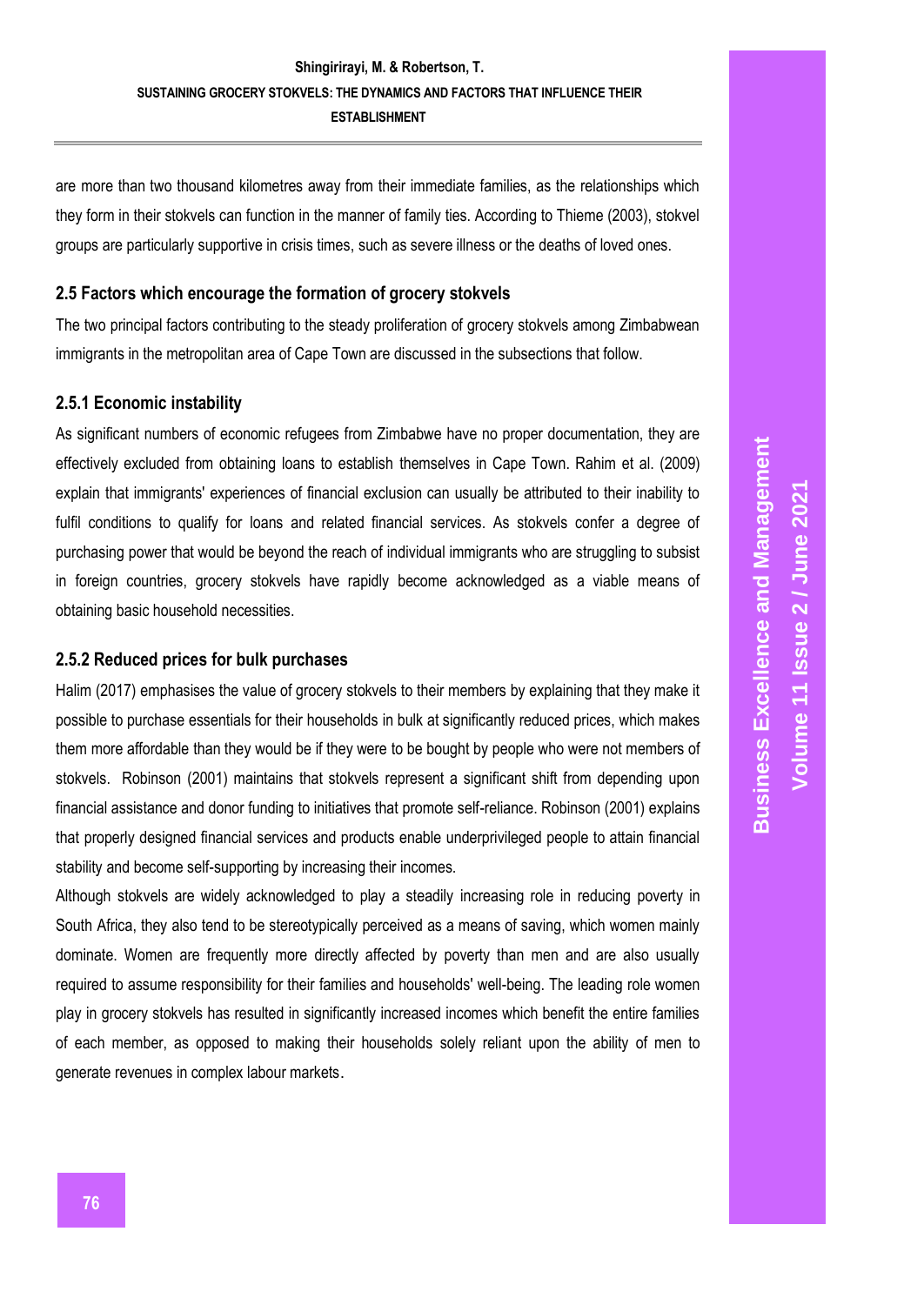are more than two thousand kilometres away from their immediate families, as the relationships which they form in their stokvels can function in the manner of family ties. According to Thieme (2003), stokvel groups are particularly supportive in crisis times, such as severe illness or the deaths of loved ones.

#### **2.5 Factors which encourage the formation of grocery stokvels**

The two principal factors contributing to the steady proliferation of grocery stokvels among Zimbabwean immigrants in the metropolitan area of Cape Town are discussed in the subsections that follow.

# **2.5.1 Economic instability**

As significant numbers of economic refugees from Zimbabwe have no proper documentation, they are effectively excluded from obtaining loans to establish themselves in Cape Town. Rahim et al. (2009) explain that immigrants' experiences of financial exclusion can usually be attributed to their inability to fulfil conditions to qualify for loans and related financial services. As stokvels confer a degree of purchasing power that would be beyond the reach of individual immigrants who are struggling to subsist in foreign countries, grocery stokvels have rapidly become acknowledged as a viable means of obtaining basic household necessities.

# **2.5.2 Reduced prices for bulk purchases**

Halim (2017) emphasises the value of grocery stokvels to their members by explaining that they make it possible to purchase essentials for their households in bulk at significantly reduced prices, which makes them more affordable than they would be if they were to be bought by people who were not members of stokvels. Robinson (2001) maintains that stokvels represent a significant shift from depending upon financial assistance and donor funding to initiatives that promote self-reliance. Robinson (2001) explains that properly designed financial services and products enable underprivileged people to attain financial stability and become self-supporting by increasing their incomes.

Although stokvels are widely acknowledged to play a steadily increasing role in reducing poverty in South Africa, they also tend to be stereotypically perceived as a means of saving, which women mainly dominate. Women are frequently more directly affected by poverty than men and are also usually required to assume responsibility for their families and households' well-being. The leading role women play in grocery stokvels has resulted in significantly increased incomes which benefit the entire families of each member, as opposed to making their households solely reliant upon the ability of men to generate revenues in complex labour markets.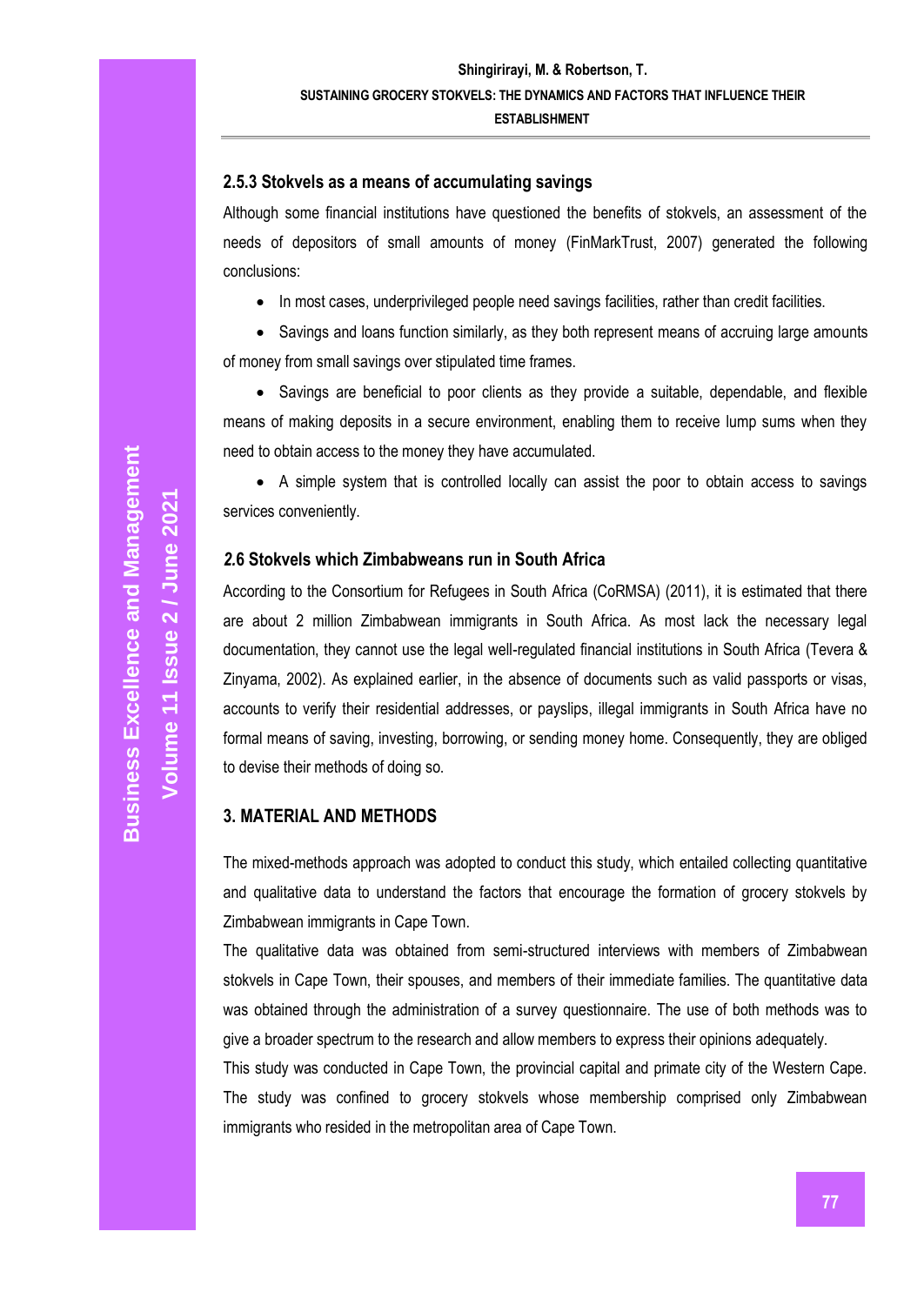# **2.5.3 Stokvels as a means of accumulating savings**

Although some financial institutions have questioned the benefits of stokvels, an assessment of the needs of depositors of small amounts of money (FinMarkTrust, 2007) generated the following conclusions:

• In most cases, underprivileged people need savings facilities, rather than credit facilities.

• Savings and loans function similarly, as they both represent means of accruing large amounts of money from small savings over stipulated time frames.

• Savings are beneficial to poor clients as they provide a suitable, dependable, and flexible means of making deposits in a secure environment, enabling them to receive lump sums when they need to obtain access to the money they have accumulated.

• A simple system that is controlled locally can assist the poor to obtain access to savings services conveniently.

#### *2.***6 Stokvels which Zimbabweans run in South Africa**

According to the Consortium for Refugees in South Africa (CoRMSA) (2011), it is estimated that there are about 2 million Zimbabwean immigrants in South Africa. As most lack the necessary legal documentation, they cannot use the legal well-regulated financial institutions in South Africa (Tevera & Zinyama, 2002). As explained earlier, in the absence of documents such as valid passports or visas, accounts to verify their residential addresses, or payslips, illegal immigrants in South Africa have no formal means of saving, investing, borrowing, or sending money home. Consequently, they are obliged to devise their methods of doing so.

# **3. MATERIAL AND METHODS**

The mixed-methods approach was adopted to conduct this study, which entailed collecting quantitative and qualitative data to understand the factors that encourage the formation of grocery stokvels by Zimbabwean immigrants in Cape Town.

The qualitative data was obtained from semi-structured interviews with members of Zimbabwean stokvels in Cape Town, their spouses, and members of their immediate families. The quantitative data was obtained through the administration of a survey questionnaire. The use of both methods was to give a broader spectrum to the research and allow members to express their opinions adequately.

This study was conducted in Cape Town, the provincial capital and primate city of the Western Cape. The study was confined to grocery stokvels whose membership comprised only Zimbabwean immigrants who resided in the metropolitan area of Cape Town.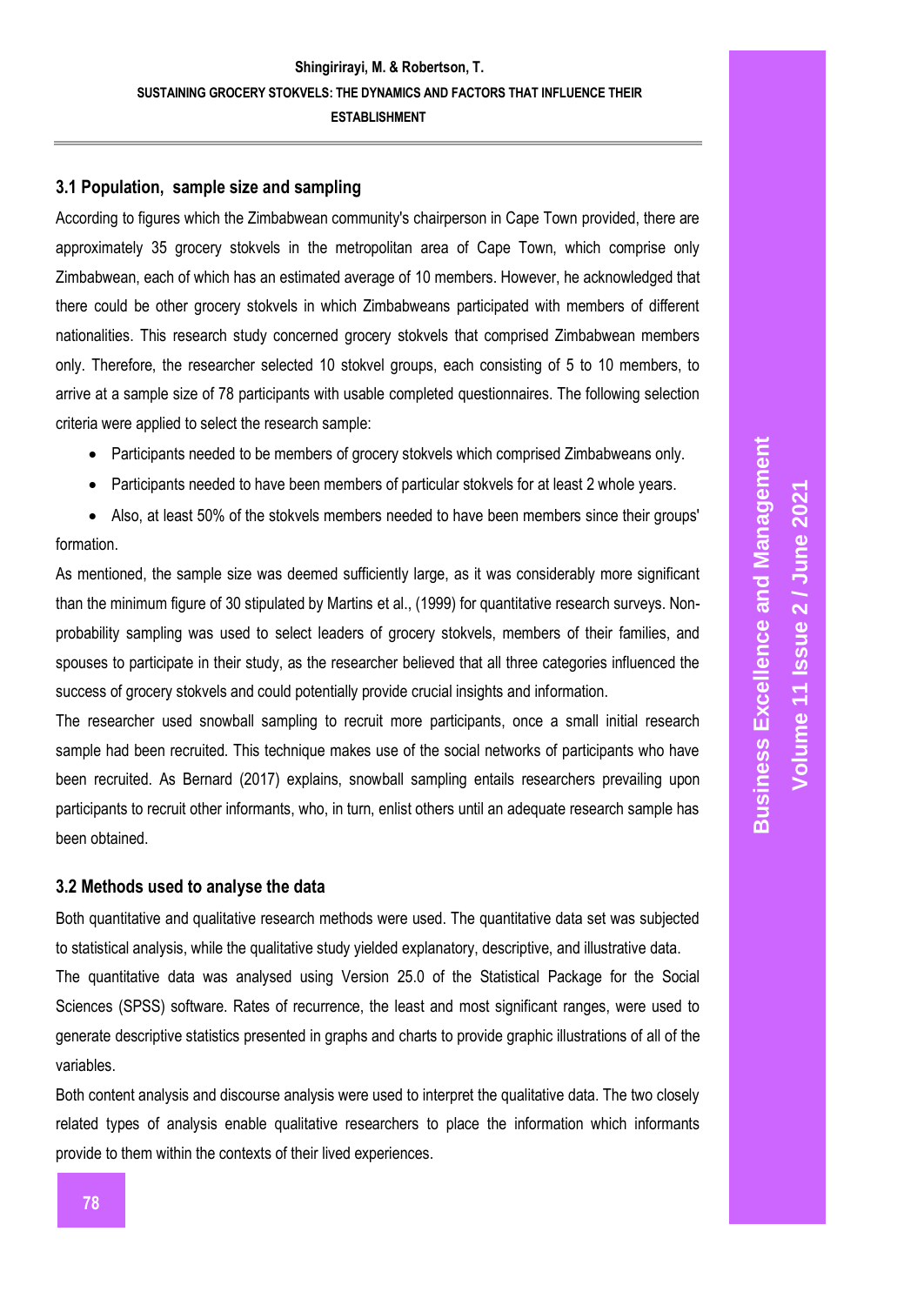# **3.1 Population, sample size and sampling**

According to figures which the Zimbabwean community's chairperson in Cape Town provided, there are approximately 35 grocery stokvels in the metropolitan area of Cape Town, which comprise only Zimbabwean, each of which has an estimated average of 10 members. However, he acknowledged that there could be other grocery stokvels in which Zimbabweans participated with members of different nationalities. This research study concerned grocery stokvels that comprised Zimbabwean members only. Therefore, the researcher selected 10 stokvel groups, each consisting of 5 to 10 members, to arrive at a sample size of 78 participants with usable completed questionnaires. The following selection criteria were applied to select the research sample:

- Participants needed to be members of grocery stokvels which comprised Zimbabweans only.
- Participants needed to have been members of particular stokvels for at least 2 whole years.
- Also, at least 50% of the stokvels members needed to have been members since their groups'

## formation.

As mentioned, the sample size was deemed sufficiently large, as it was considerably more significant than the minimum figure of 30 stipulated by Martins et al., (1999) for quantitative research surveys. Nonprobability sampling was used to select leaders of grocery stokvels, members of their families, and spouses to participate in their study, as the researcher believed that all three categories influenced the success of grocery stokvels and could potentially provide crucial insights and information.

The researcher used snowball sampling to recruit more participants, once a small initial research sample had been recruited. This technique makes use of the social networks of participants who have been recruited. As Bernard (2017) explains, snowball sampling entails researchers prevailing upon participants to recruit other informants, who, in turn, enlist others until an adequate research sample has been obtained.

#### **3.2 Methods used to analyse the data**

Both quantitative and qualitative research methods were used. The quantitative data set was subjected to statistical analysis, while the qualitative study yielded explanatory, descriptive, and illustrative data. The quantitative data was analysed using Version 25.0 of the Statistical Package for the Social Sciences (SPSS) software. Rates of recurrence, the least and most significant ranges, were used to generate descriptive statistics presented in graphs and charts to provide graphic illustrations of all of the variables.

Both content analysis and discourse analysis were used to interpret the qualitative data. The two closely related types of analysis enable qualitative researchers to place the information which informants provide to them within the contexts of their lived experiences.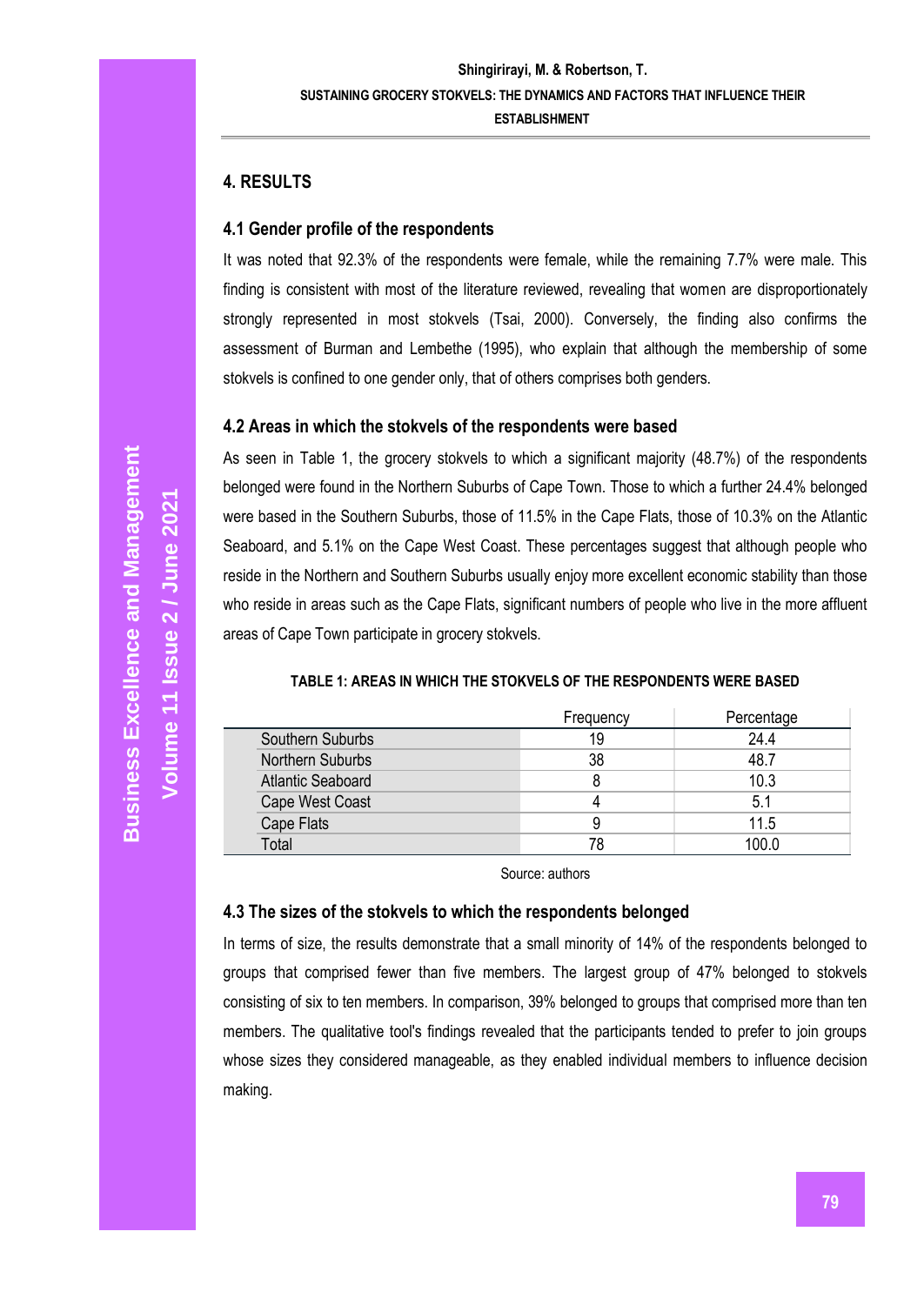# **4. RESULTS**

# **4.1 Gender profile of the respondents**

It was noted that 92.3% of the respondents were female, while the remaining 7.7% were male. This finding is consistent with most of the literature reviewed, revealing that women are disproportionately strongly represented in most stokvels (Tsai, 2000). Conversely, the finding also confirms the assessment of Burman and Lembethe (1995), who explain that although the membership of some stokvels is confined to one gender only, that of others comprises both genders.

## **4.2 Areas in which the stokvels of the respondents were based**

As seen in Table 1, the grocery stokvels to which a significant majority (48.7%) of the respondents belonged were found in the Northern Suburbs of Cape Town. Those to which a further 24.4% belonged were based in the Southern Suburbs, those of 11.5% in the Cape Flats, those of 10.3% on the Atlantic Seaboard, and 5.1% on the Cape West Coast. These percentages suggest that although people who reside in the Northern and Southern Suburbs usually enjoy more excellent economic stability than those who reside in areas such as the Cape Flats, significant numbers of people who live in the more affluent areas of Cape Town participate in grocery stokvels.

|                          | Frequency | Percentage |
|--------------------------|-----------|------------|
| Southern Suburbs         | 19        | 24.4       |
| Northern Suburbs         | 38        | 48.7       |
| <b>Atlantic Seaboard</b> |           | 10.3       |
| Cape West Coast          |           | 5.1        |
| Cape Flats               |           | 11.5       |
| Total                    | 78        | 100.0      |

#### **TABLE 1: AREAS IN WHICH THE STOKVELS OF THE RESPONDENTS WERE BASED**

Source: authors

#### **4.3 The sizes of the stokvels to which the respondents belonged**

In terms of size, the results demonstrate that a small minority of 14% of the respondents belonged to groups that comprised fewer than five members. The largest group of 47% belonged to stokvels consisting of six to ten members. In comparison, 39% belonged to groups that comprised more than ten members. The qualitative tool's findings revealed that the participants tended to prefer to join groups whose sizes they considered manageable, as they enabled individual members to influence decision making.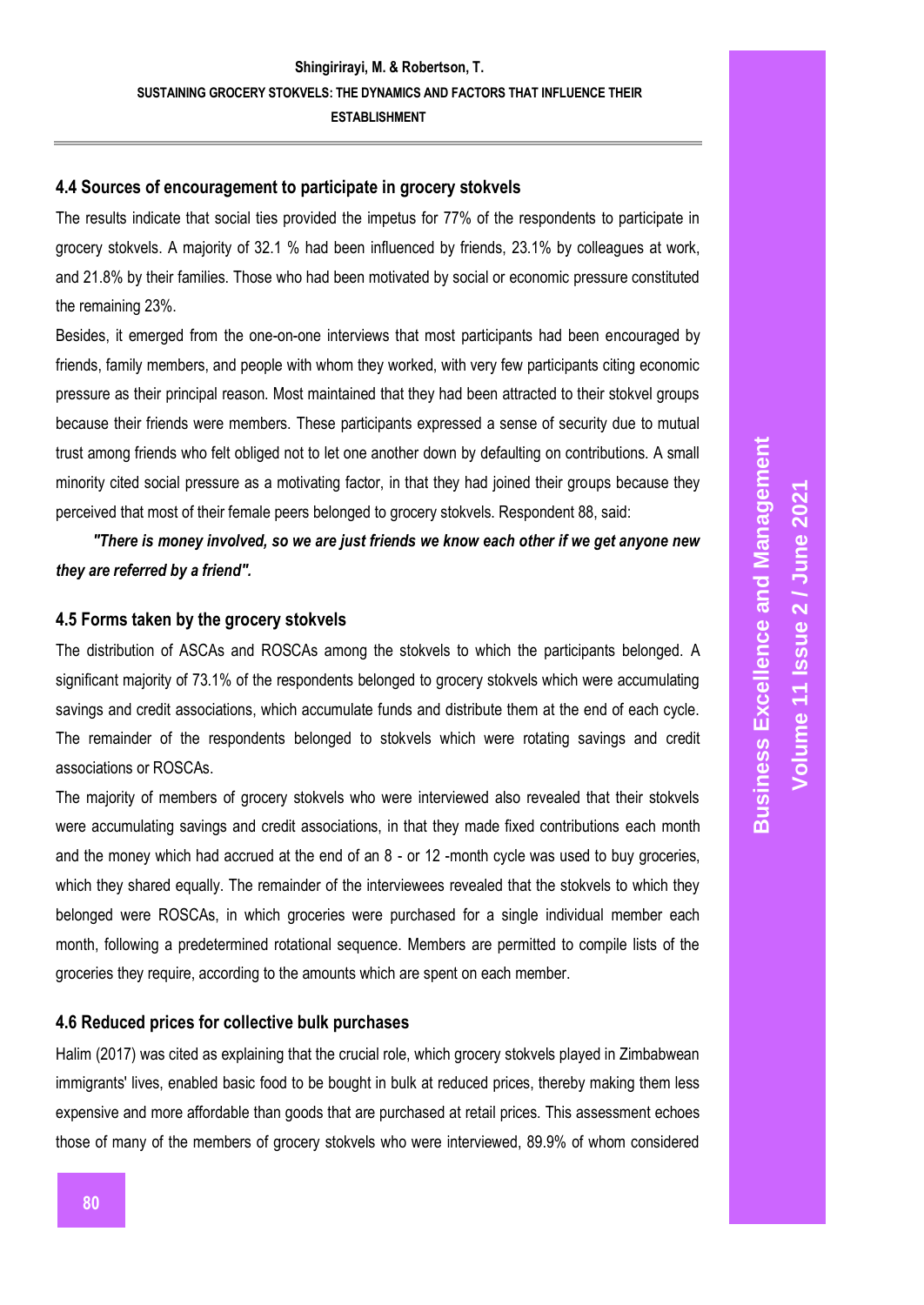## **4.4 Sources of encouragement to participate in grocery stokvels**

The results indicate that social ties provided the impetus for 77% of the respondents to participate in grocery stokvels. A majority of 32.1 % had been influenced by friends, 23.1% by colleagues at work, and 21.8% by their families. Those who had been motivated by social or economic pressure constituted the remaining 23%.

Besides, it emerged from the one-on-one interviews that most participants had been encouraged by friends, family members, and people with whom they worked, with very few participants citing economic pressure as their principal reason. Most maintained that they had been attracted to their stokvel groups because their friends were members. These participants expressed a sense of security due to mutual trust among friends who felt obliged not to let one another down by defaulting on contributions. A small minority cited social pressure as a motivating factor, in that they had joined their groups because they perceived that most of their female peers belonged to grocery stokvels. Respondent 88, said:

*"There is money involved, so we are just friends we know each other if we get anyone new they are referred by a friend".*

#### **4.5 Forms taken by the grocery stokvels**

The distribution of ASCAs and ROSCAs among the stokvels to which the participants belonged. A significant majority of 73.1% of the respondents belonged to grocery stokvels which were accumulating savings and credit associations, which accumulate funds and distribute them at the end of each cycle. The remainder of the respondents belonged to stokvels which were rotating savings and credit associations or ROSCAs.

The majority of members of grocery stokvels who were interviewed also revealed that their stokvels were accumulating savings and credit associations, in that they made fixed contributions each month and the money which had accrued at the end of an 8 - or 12 -month cycle was used to buy groceries, which they shared equally. The remainder of the interviewees revealed that the stokvels to which they belonged were ROSCAs, in which groceries were purchased for a single individual member each month, following a predetermined rotational sequence. Members are permitted to compile lists of the groceries they require, according to the amounts which are spent on each member.

#### **4.6 Reduced prices for collective bulk purchases**

Halim (2017) was cited as explaining that the crucial role, which grocery stokvels played in Zimbabwean immigrants' lives, enabled basic food to be bought in bulk at reduced prices, thereby making them less expensive and more affordable than goods that are purchased at retail prices. This assessment echoes those of many of the members of grocery stokvels who were interviewed, 89.9% of whom considered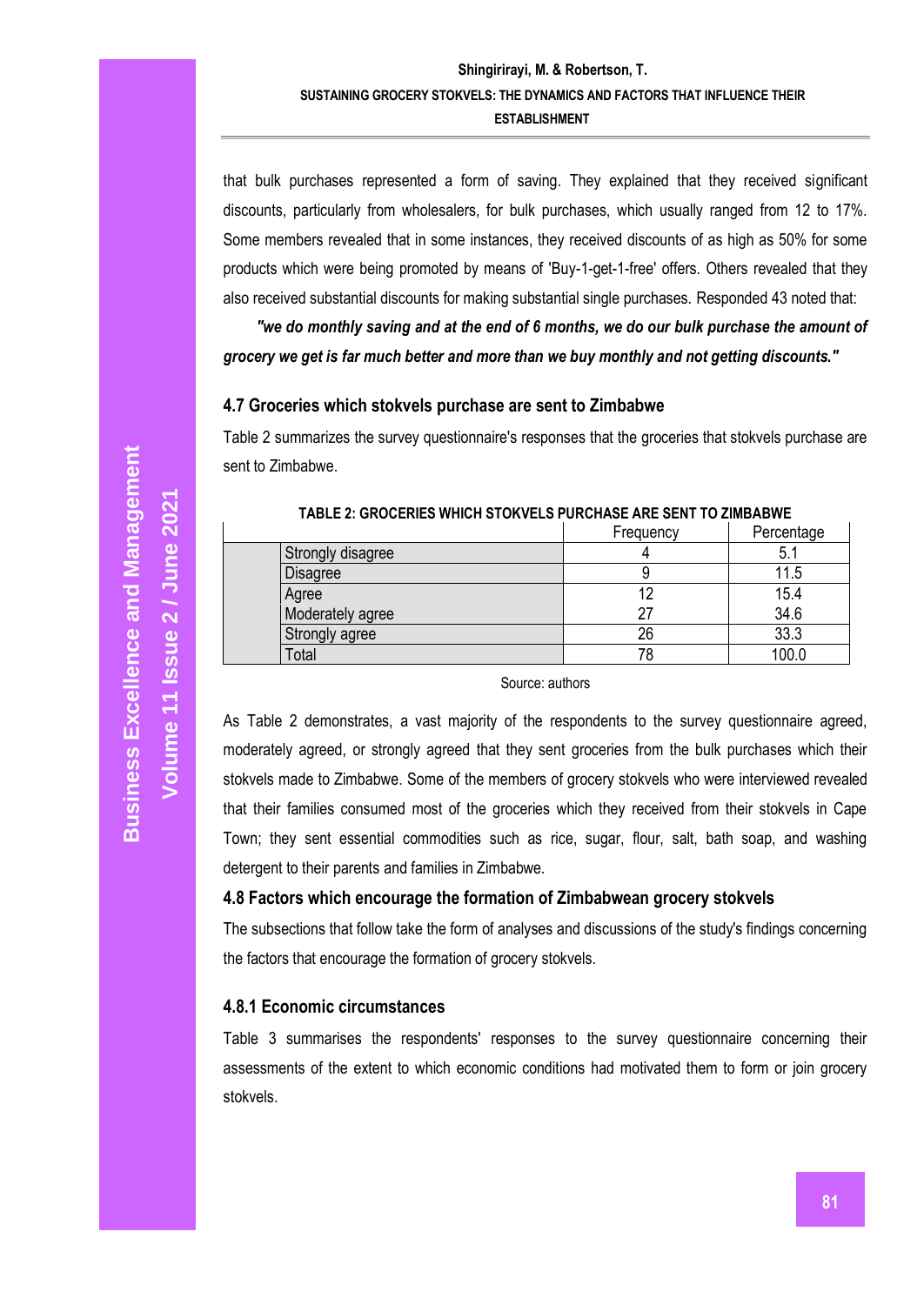# **Shingirirayi, M. & Robertson, T. SUSTAINING GROCERY STOKVELS: THE DYNAMICS AND FACTORS THAT INFLUENCE THEIR ESTABLISHMENT**

that bulk purchases represented a form of saving. They explained that they received significant discounts, particularly from wholesalers, for bulk purchases, which usually ranged from 12 to 17%. Some members revealed that in some instances, they received discounts of as high as 50% for some products which were being promoted by means of 'Buy-1-get-1-free' offers. Others revealed that they also received substantial discounts for making substantial single purchases. Responded 43 noted that:

*"we do monthly saving and at the end of 6 months, we do our bulk purchase the amount of grocery we get is far much better and more than we buy monthly and not getting discounts."*

# **4.7 Groceries which stokvels purchase are sent to Zimbabwe**

Table 2 summarizes the survey questionnaire's responses that the groceries that stokvels purchase are sent to Zimbabwe.

|                   | Frequency | Percentage |
|-------------------|-----------|------------|
| Strongly disagree |           | 5.         |
| <b>Disagree</b>   |           | 11.5       |
| Agree             |           | 15.4       |
| Moderately agree  |           | 34.6       |
| Strongly agree    | 26        | 33.3       |
| Total             |           | 100.0      |

## **TABLE 2: GROCERIES WHICH STOKVELS PURCHASE ARE SENT TO ZIMBABWE**

Source: authors

As Table 2 demonstrates, a vast majority of the respondents to the survey questionnaire agreed, moderately agreed, or strongly agreed that they sent groceries from the bulk purchases which their stokvels made to Zimbabwe. Some of the members of grocery stokvels who were interviewed revealed that their families consumed most of the groceries which they received from their stokvels in Cape Town; they sent essential commodities such as rice, sugar, flour, salt, bath soap, and washing detergent to their parents and families in Zimbabwe.

## **4.8 Factors which encourage the formation of Zimbabwean grocery stokvels**

The subsections that follow take the form of analyses and discussions of the study's findings concerning the factors that encourage the formation of grocery stokvels.

#### **4.8.1 Economic circumstances**

Table 3 summarises the respondents' responses to the survey questionnaire concerning their assessments of the extent to which economic conditions had motivated them to form or join grocery stokvels.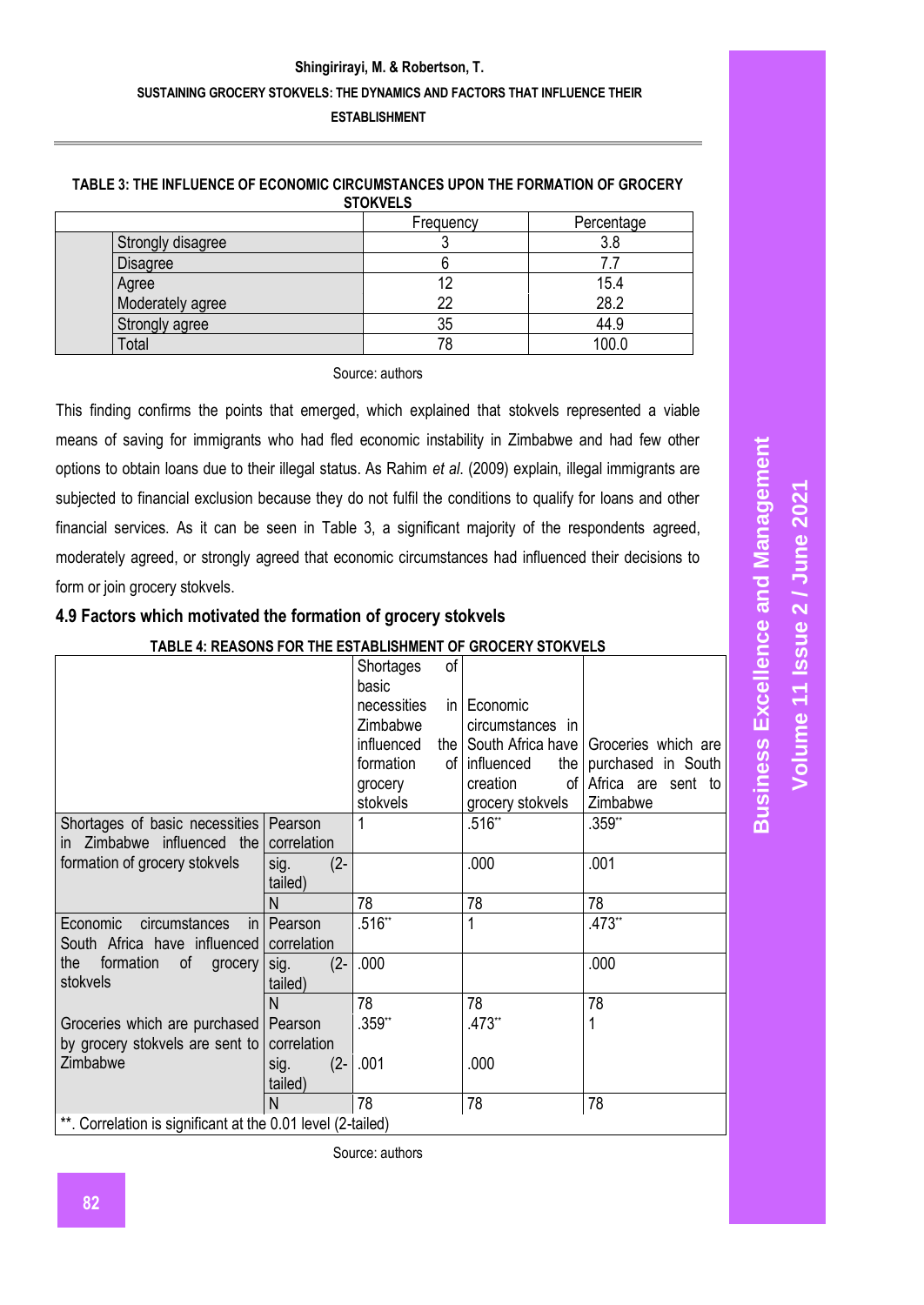| TABLE 3: THE INFLUENCE OF ECONOMIC CIRCUMSTANCES UPON THE FORMATION OF GROCERY |
|--------------------------------------------------------------------------------|
| <b>STOKVELS</b>                                                                |

|  |                   | Frequency | Percentage |
|--|-------------------|-----------|------------|
|  | Strongly disagree |           | 3.8        |
|  | Disagree          |           |            |
|  | Agree             |           | 15.4       |
|  | Moderately agree  | 22        | 28.2       |
|  | Strongly agree    | 35        | 44.9       |
|  | Total             | 78        | 100.0      |

Source: authors

This finding confirms the points that emerged, which explained that stokvels represented a viable means of saving for immigrants who had fled economic instability in Zimbabwe and had few other options to obtain loans due to their illegal status. As Rahim *et al*. (2009) explain, illegal immigrants are subjected to financial exclusion because they do not fulfil the conditions to qualify for loans and other financial services. As it can be seen in Table 3, a significant majority of the respondents agreed, moderately agreed, or strongly agreed that economic circumstances had influenced their decisions to form or join grocery stokvels.

# **4.9 Factors which motivated the formation of grocery stokvels**

# **TABLE 4: REASONS FOR THE ESTABLISHMENT OF GROCERY STOKVELS**

|                                                             |                | Shortages   | of |                  |                                           |
|-------------------------------------------------------------|----------------|-------------|----|------------------|-------------------------------------------|
|                                                             |                | basic       |    |                  |                                           |
|                                                             |                | necessities |    | in   Economic    |                                           |
|                                                             |                | Zimbabwe    |    | circumstances in |                                           |
|                                                             |                | influenced  |    |                  | the South Africa have Groceries which are |
|                                                             |                | formation   |    | of influenced    | the purchased in South                    |
|                                                             |                | grocery     |    | creation         | of Africa are sent to                     |
|                                                             |                | stokvels    |    | grocery stokvels | Zimbabwe                                  |
| Shortages of basic necessities   Pearson                    |                |             |    | $.516**$         | .359**                                    |
| in Zimbabwe influenced the correlation                      |                |             |    |                  |                                           |
| formation of grocery stokvels                               | $(2 -$<br>sig. |             |    | .000             | .001                                      |
|                                                             | tailed)        |             |    |                  |                                           |
|                                                             | N              | 78          |    | 78               | 78                                        |
| Economic circumstances                                      | in   Pearson   | $.516**$    |    | 1                | .473**                                    |
| South Africa have influenced correlation                    |                |             |    |                  |                                           |
| formation<br>of<br>the<br>grocery sig.                      | $(2 -$         | .000        |    |                  | .000                                      |
| stokvels                                                    | tailed)        |             |    |                  |                                           |
|                                                             | N              | 78          |    | 78               | 78                                        |
| Groceries which are purchased   Pearson                     |                | $.359**$    |    | $.473**$         | 1                                         |
| by grocery stokvels are sent to   correlation               |                |             |    |                  |                                           |
| Zimbabwe                                                    | $(2 -$<br>sig. | .001        |    | .000             |                                           |
|                                                             | tailed)        |             |    |                  |                                           |
|                                                             | N              | 78          |    | 78               | 78                                        |
| **. Correlation is significant at the 0.01 level (2-tailed) |                |             |    |                  |                                           |

Source: authors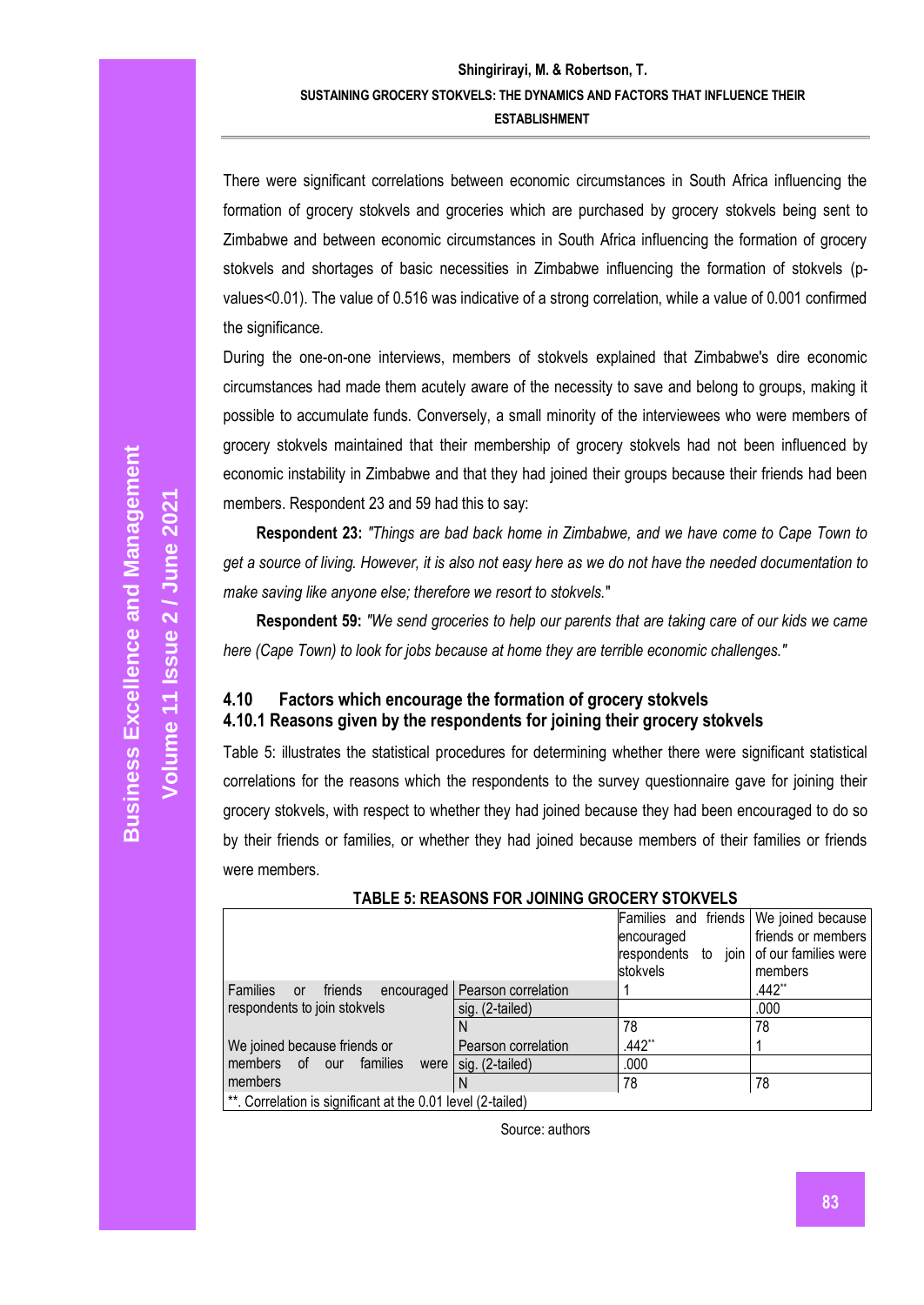There were significant correlations between economic circumstances in South Africa influencing the formation of grocery stokvels and groceries which are purchased by grocery stokvels being sent to Zimbabwe and between economic circumstances in South Africa influencing the formation of grocery stokvels and shortages of basic necessities in Zimbabwe influencing the formation of stokvels (pvalues<0.01). The value of 0.516 was indicative of a strong correlation, while a value of 0.001 confirmed the significance.

During the one-on-one interviews, members of stokvels explained that Zimbabwe's dire economic circumstances had made them acutely aware of the necessity to save and belong to groups, making it possible to accumulate funds. Conversely, a small minority of the interviewees who were members of grocery stokvels maintained that their membership of grocery stokvels had not been influenced by economic instability in Zimbabwe and that they had joined their groups because their friends had been members. Respondent 23 and 59 had this to say:

**Respondent 23:** *"Things are bad back home in Zimbabwe, and we have come to Cape Town to get a source of living. However, it is also not easy here as we do not have the needed documentation to make saving like anyone else; therefore we resort to stokvels.*"

**Respondent 59:** *"We send groceries to help our parents that are taking care of our kids we came here (Cape Town) to look for jobs because at home they are terrible economic challenges."* 

# **4.10 Factors which encourage the formation of grocery stokvels 4.10.1 Reasons given by the respondents for joining their grocery stokvels**

Table 5: illustrates the statistical procedures for determining whether there were significant statistical correlations for the reasons which the respondents to the survey questionnaire gave for joining their grocery stokvels, with respect to whether they had joined because they had been encouraged to do so by their friends or families, or whether they had joined because members of their families or friends were members.

|                                                                         |                                  | Families and friends   We joined because |                    |  |  |
|-------------------------------------------------------------------------|----------------------------------|------------------------------------------|--------------------|--|--|
|                                                                         |                                  | encouraged                               | friends or members |  |  |
|                                                                         |                                  | respondents to join of our families were |                    |  |  |
|                                                                         |                                  | stokvels                                 | members            |  |  |
| Families or<br>friends                                                  | encouraged   Pearson correlation |                                          | .442**             |  |  |
| respondents to join stokvels                                            | sig. (2-tailed)                  |                                          | .000               |  |  |
|                                                                         |                                  | 78                                       | 78                 |  |  |
| We joined because friends or                                            | Pearson correlation              | .442**                                   |                    |  |  |
| Imembers of our families<br>were                                        | sig. (2-tailed)                  | .000                                     |                    |  |  |
| members                                                                 |                                  | 78                                       | 78                 |  |  |
| <sup>**</sup> . Correlation is significant at the 0.01 level (2-tailed) |                                  |                                          |                    |  |  |

#### **TABLE 5: REASONS FOR JOINING GROCERY STOKVELS**

**Volume 11 Issue** 

**2 / June 2021**

Source: authors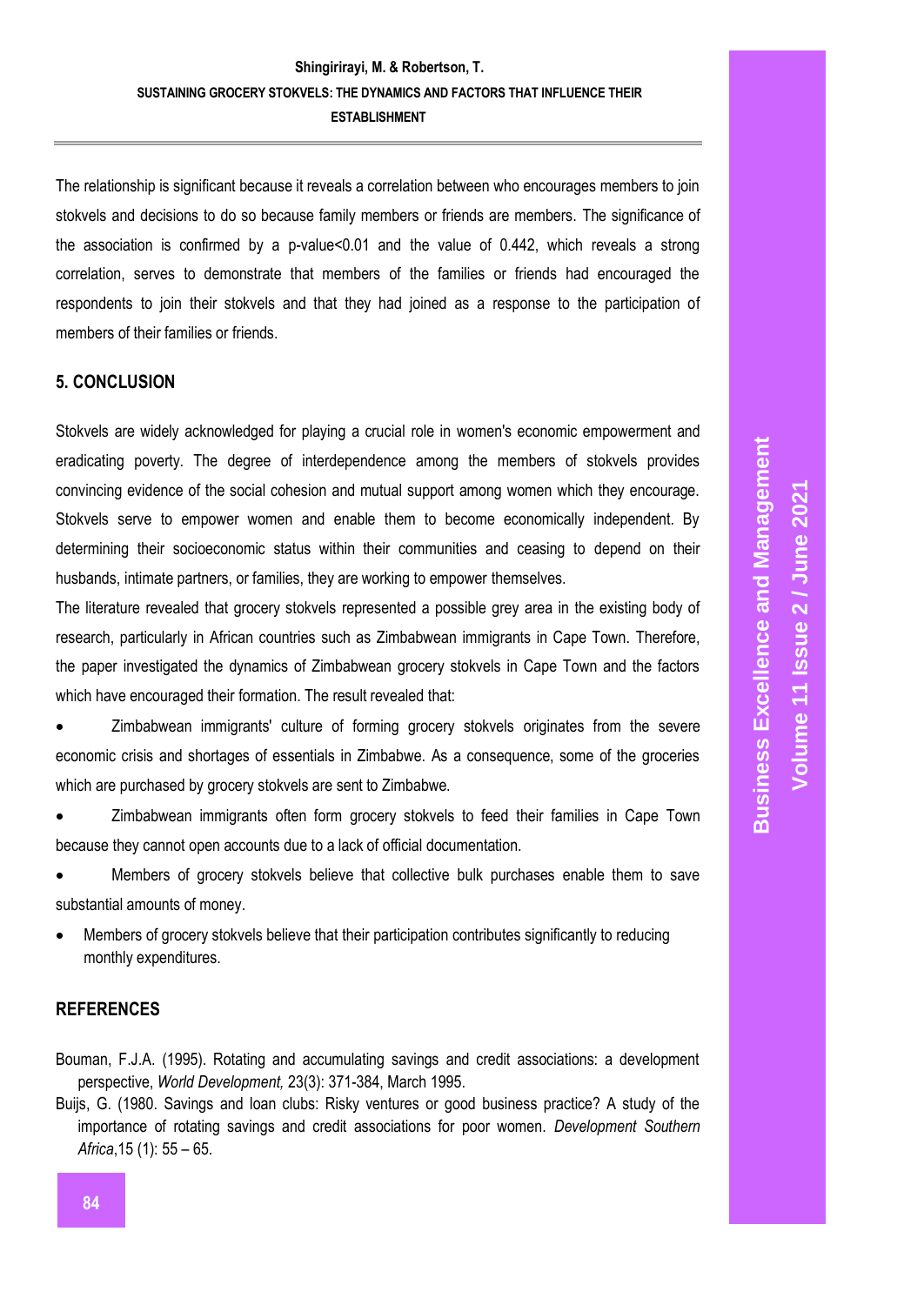The relationship is significant because it reveals a correlation between who encourages members to join stokvels and decisions to do so because family members or friends are members. The significance of the association is confirmed by a p-value<0.01 and the value of 0.442, which reveals a strong correlation, serves to demonstrate that members of the families or friends had encouraged the respondents to join their stokvels and that they had joined as a response to the participation of members of their families or friends.

# **5. CONCLUSION**

Stokvels are widely acknowledged for playing a crucial role in women's economic empowerment and eradicating poverty. The degree of interdependence among the members of stokvels provides convincing evidence of the social cohesion and mutual support among women which they encourage. Stokvels serve to empower women and enable them to become economically independent. By determining their socioeconomic status within their communities and ceasing to depend on their husbands, intimate partners, or families, they are working to empower themselves.

The literature revealed that grocery stokvels represented a possible grey area in the existing body of research, particularly in African countries such as Zimbabwean immigrants in Cape Town. Therefore, the paper investigated the dynamics of Zimbabwean grocery stokvels in Cape Town and the factors which have encouraged their formation. The result revealed that:

• Zimbabwean immigrants' culture of forming grocery stokvels originates from the severe economic crisis and shortages of essentials in Zimbabwe. As a consequence, some of the groceries which are purchased by grocery stokvels are sent to Zimbabwe.

• Zimbabwean immigrants often form grocery stokvels to feed their families in Cape Town because they cannot open accounts due to a lack of official documentation.

• Members of grocery stokvels believe that collective bulk purchases enable them to save substantial amounts of money.

• Members of grocery stokvels believe that their participation contributes significantly to reducing monthly expenditures.

# **REFERENCES**

- Bouman, F.J.A. (1995). Rotating and accumulating savings and credit associations: a development perspective, *World Development,* 23(3): 371-384, March 1995.
- Buijs, G. (1980. Savings and loan clubs: Risky ventures or good business practice? A study of the importance of rotating savings and credit associations for poor women. *Development Southern Africa*,15 (1): 55 – 65.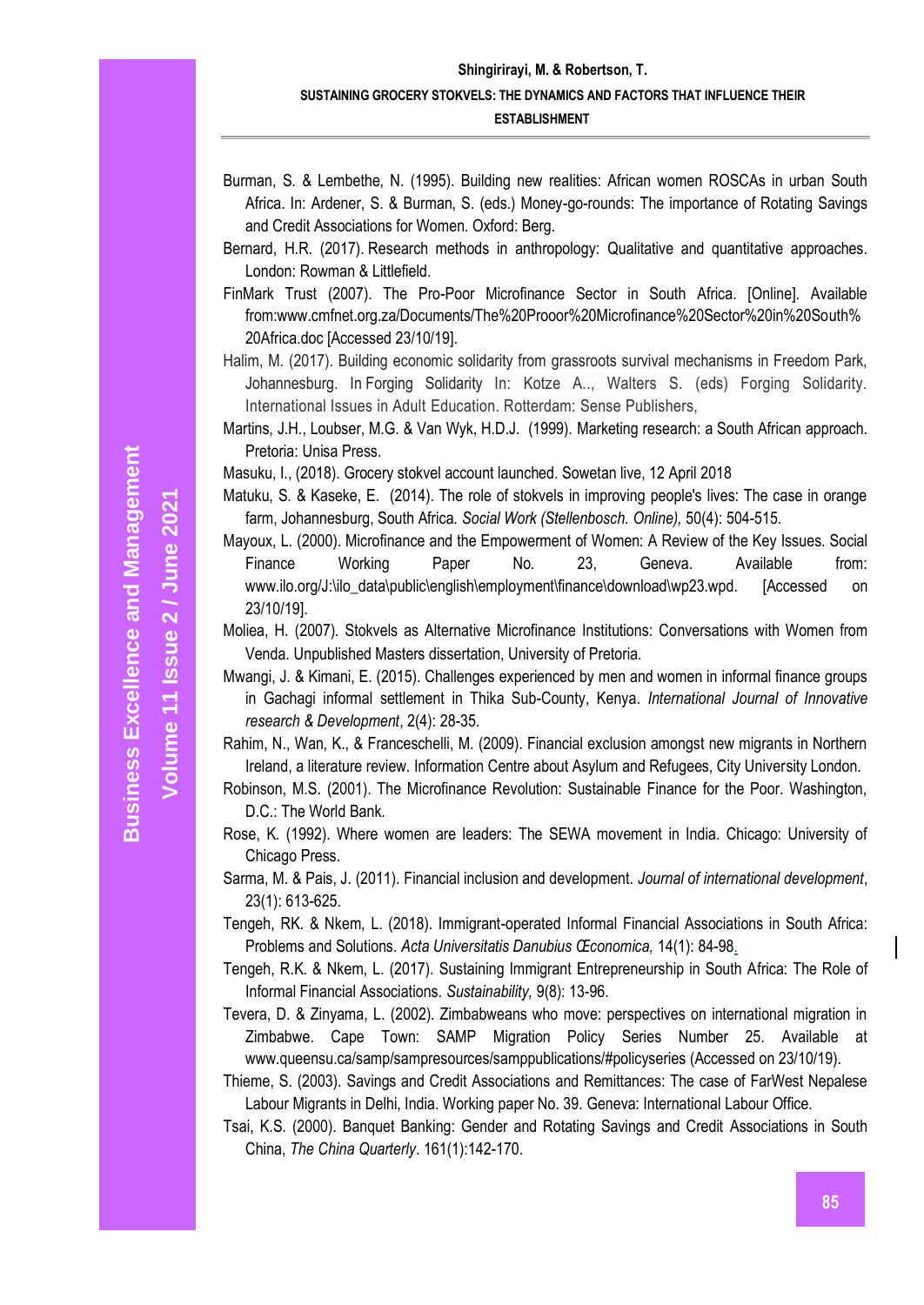**Volume 11 Issue** 

**2 / June 2021**

# **Shingirirayi, M. & Robertson, T. SUSTAINING GROCERY STOKVELS: THE DYNAMICS AND FACTORS THAT INFLUENCE THEIR ESTABLISHMENT**

- Burman, S. & Lembethe, N. (1995). Building new realities: African women ROSCAs in urban South Africa. In: Ardener, S. & Burman, S. (eds.) Money-go-rounds: The importance of Rotating Savings and Credit Associations for Women. Oxford: Berg.
- Bernard, H.R. (2017). Research methods in anthropology: Qualitative and quantitative approaches. London: Rowman & Littlefield.
- FinMark Trust (2007). The Pro-Poor Microfinance Sector in South Africa. [Online]. Available from:www.cmfnet.org.za/Documents/The%20Prooor%20Microfinance%20Sector%20in%20South% 20Africa.doc [Accessed 23/10/19].
- Halim, M. (2017). Building economic solidarity from grassroots survival mechanisms in Freedom Park, Johannesburg. In Forging Solidarity In: Kotze A.., Walters S. (eds) Forging Solidarity. International Issues in Adult Education. Rotterdam: Sense Publishers,
- Martins, J.H., Loubser, M.G. & Van Wyk, H.D.J. (1999). Marketing research: a South African approach. Pretoria: Unisa Press.
- Masuku, I., (2018). Grocery stokvel account launched. Sowetan live, 12 April 2018
- Matuku, S. & Kaseke, E. (2014). The role of stokvels in improving people's lives: The case in orange farm, Johannesburg, South Africa. *Social Work (Stellenbosch. Online),* 50(4): 504-515.
- Mayoux, L. (2000). Microfinance and the Empowerment of Women: A Review of the Key Issues. Social Finance Working Paper No. 23, Geneva. Available from: www.ilo.org/J:\ilo\_data\public\english\employment\finance\download\wp23.wpd. [Accessed on 23/10/19].
- Moliea, H. (2007). Stokvels as Alternative Microfinance Institutions: Conversations with Women from Venda. Unpublished Masters dissertation, University of Pretoria.
- Mwangi, J. & Kimani, E. (2015). Challenges experienced by men and women in informal finance groups in Gachagi informal settlement in Thika Sub-County, Kenya. *International Journal of Innovative research & Development*, 2(4): 28-35.
- Rahim, N., Wan, K., & Franceschelli, M. (2009). Financial exclusion amongst new migrants in Northern Ireland, a literature review. Information Centre about Asylum and Refugees, City University London.
- Robinson, M.S. (2001). The Microfinance Revolution: Sustainable Finance for the Poor. Washington, D.C.: The World Bank.
- Rose, K. (1992). Where women are leaders: The SEWA movement in India. Chicago: University of Chicago Press.
- Sarma, M. & Pais, J. (2011). Financial inclusion and development. *Journal of international development*, 23(1): 613-625.
- Tengeh, RK. & Nkem, L. (2018). Immigrant-operated Informal Financial Associations in South Africa: Problems and Solutions. *Acta Universitatis Danubius Œconomica,* 14(1): 84-98.
- Tengeh, R.K. & Nkem, L. (2017). Sustaining Immigrant Entrepreneurship in South Africa: The Role of Informal Financial Associations. *Sustainability,* 9(8): 13-96.
- Tevera, D. & Zinyama, L. (2002). Zimbabweans who move: perspectives on international migration in Zimbabwe. Cape Town: SAMP Migration Policy Series Number 25. Available at www.queensu.ca/samp/sampresources/samppublications/#policyseries (Accessed on 23/10/19).
- Thieme, S. (2003). Savings and Credit Associations and Remittances: The case of FarWest Nepalese Labour Migrants in Delhi, India. Working paper No. 39. Geneva: International Labour Office.
- Tsai, K.S. (2000). Banquet Banking: Gender and Rotating Savings and Credit Associations in South China, *The China Quarterly*. 161(1):142-170.